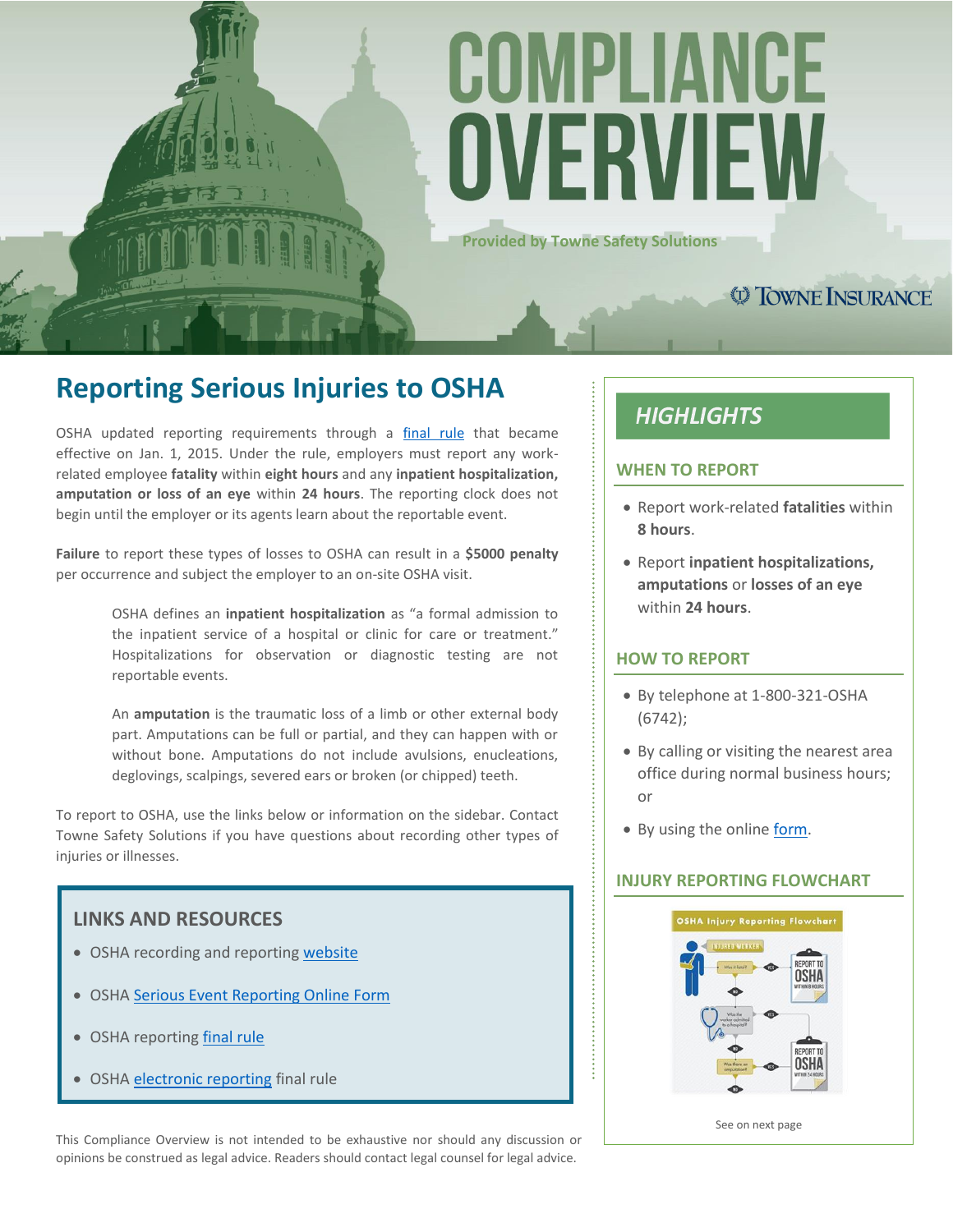# COMPLIANCE OVERVIEW

**Provided by Towne Safety Solutions** 

## **Reporting Serious Injuries to OSHA**

OSHA updated reporting requirements through a [final rule](https://www.osha.gov/recordkeeping2014/NAICSReporting.pdf) that became effective on Jan. 1, 2015. Under the rule, employers must report any workrelated employee **fatality** within **eight hours** and any **inpatient hospitalization, amputation or loss of an eye** within **24 hours**. The reporting clock does not begin until the employer or its agents learn about the reportable event.

**Failure** to report these types of losses to OSHA can result in a **\$5000 penalty** per occurrence and subject the employer to an on-site OSHA visit.

> OSHA defines an **inpatient hospitalization** as "a formal admission to the inpatient service of a hospital or clinic for care or treatment." Hospitalizations for observation or diagnostic testing are not reportable events.

> An **amputation** is the traumatic loss of a limb or other external body part. Amputations can be full or partial, and they can happen with or without bone. Amputations do not include avulsions, enucleations, deglovings, scalpings, severed ears or broken (or chipped) teeth.

To report to OSHA, use the links below or information on the sidebar. Contact Towne Safety Solutions if you have questions about recording other types of injuries or illnesses.

#### **LINKS AND RESOURCES**

- OSHA recording and reporting [website](https://www.osha.gov/recordkeeping/)
- OSHA [Serious Event Reporting Online Form](https://www.osha.gov/pls/ser/serform.html)
- OSHA reporting [final rule](https://www.osha.gov/recordkeeping2014/NAICSReporting.pdf)
- OSHA [electronic reporting](https://www.federalregister.gov/articles/2016/05/12/2016-10443/improve-tracking-of-workplace-injuries-and-illnesses#h-4) final rule

This Compliance Overview is not intended to be exhaustive nor should any discussion or opinions be construed as legal advice. Readers should contact legal counsel for legal advice.

### **HIGHLIGHTS**

#### **WHEN TO REPORT**

 Report work-related **fatalities** within **8 hours**.

**CO TOWNE INSURANCE** 

 Report **inpatient hospitalizations, amputations** or **losses of an eye** within **24 hours**.

#### **HOW TO REPORT**

- By telephone at 1-800-321-OSHA (6742);
- By calling or visiting the nearest area office during normal business hours; or
- By using the online [form.](https://www.osha.gov/pls/ser/serform.html)

#### **INJURY REPORTING FLOWCHART**



See on next page